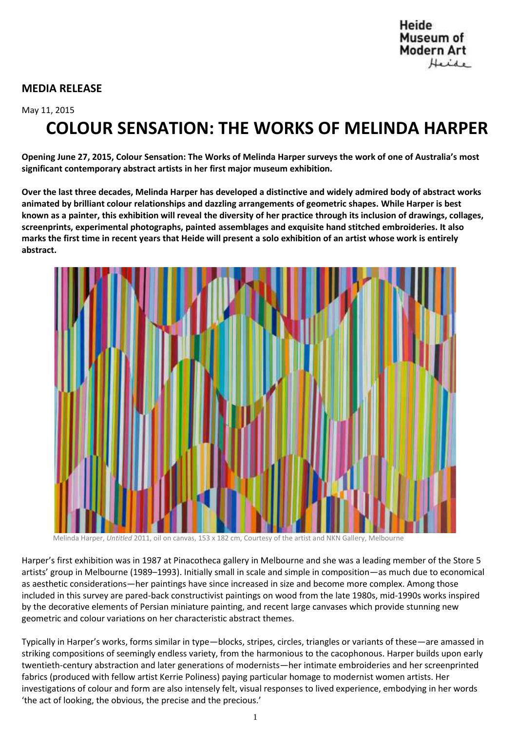# **MEDIA RELEASE**

## May 11, 2015

# **COLOUR SENSATION: THE WORKS OF MELINDA HARPER**

**Opening June 27, 2015, Colour Sensation: The Works of Melinda Harper surveys the work of one of Australia's most significant contemporary abstract artists in her first major museum exhibition.**

**Over the last three decades, Melinda Harper has developed a distinctive and widely admired body of abstract works animated by brilliant colour relationships and dazzling arrangements of geometric shapes. While Harper is best known as a painter, this exhibition will reveal the diversity of her practice through its inclusion of drawings, collages, screenprints, experimental photographs, painted assemblages and exquisite hand stitched embroideries. It also marks the first time in recent years that Heide will present a solo exhibition of an artist whose work is entirely abstract.**



Melinda Harper, *Untitled* 2011, oil on canvas, 153 x 182 cm, Courtesy of the artist and NKN Gallery, Melbourne

Harper's first exhibition was in 1987 at Pinacotheca gallery in Melbourne and she was a leading member of the Store 5 artists' group in Melbourne (1989–1993). Initially small in scale and simple in composition—as much due to economical as aesthetic considerations—her paintings have since increased in size and become more complex. Among those included in this survey are pared-back constructivist paintings on wood from the late 1980s, mid-1990s works inspired by the decorative elements of Persian miniature painting, and recent large canvases which provide stunning new geometric and colour variations on her characteristic abstract themes.

Typically in Harper's works, forms similar in type—blocks, stripes, circles, triangles or variants of these—are amassed in striking compositions of seemingly endless variety, from the harmonious to the cacophonous. Harper builds upon early twentieth-century abstraction and later generations of modernists—her intimate embroideries and her screenprinted fabrics (produced with fellow artist Kerrie Poliness) paying particular homage to modernist women artists. Her investigations of colour and form are also intensely felt, visual responses to lived experience, embodying in her words 'the act of looking, the obvious, the precise and the precious.'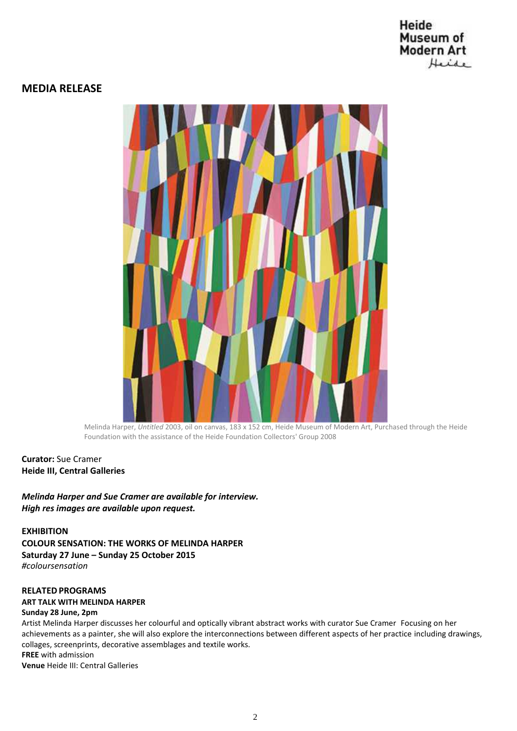# Heide Museum of **Modern Art** Heide

# **MEDIA RELEASE**



Melinda Harper, *Untitled* 2003, oil on canvas, 183 x 152 cm, Heide Museum of Modern Art, Purchased through the Heide Foundation with the assistance of the Heide Foundation Collectors' Group 2008

# **Curator:** Sue Cramer **Heide III, Central Galleries**

*Melinda Harper and Sue Cramer are available for interview. High res images are available upon request.*

**EXHIBITION COLOUR SENSATION: THE WORKS OF MELINDA HARPER Saturday 27 June – Sunday 25 October 2015** *#coloursensation*

## **RELATEDPROGRAMS**

## **ART TALK WITH MELINDA HARPER**

# **Sunday 28 June, 2pm**

Artist Melinda Harper discusses her colourful and optically vibrant abstract works with curator Sue Cramer Focusing on her achievements as a painter, she will also explore the interconnections between different aspects of her practice including drawings, collages, screenprints, decorative assemblages and textile works. **FREE** with admission **Venue** Heide III: Central Galleries